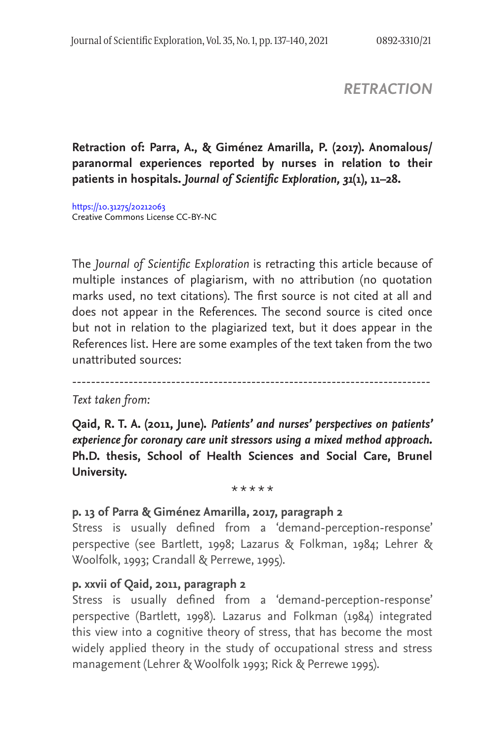*RETRACTION*

# **Retraction of: Parra, A., & Giménez Amarilla, P. (2017). Anomalous/ paranormal experiences reported by nurses in relation to their patients in hospitals.** *Journal of Scientific Exploration, 31***(1), 11–28.**

https://10.31275/20212063 Creative Commons License CC-BY-NC

The *Journal of Scientific Exploration* is retracting this article because of multiple instances of plagiarism, with no attribution (no quotation marks used, no text citations). The first source is not cited at all and does not appear in the References. The second source is cited once but not in relation to the plagiarized text, but it does appear in the References list. Here are some examples of the text taken from the two unattributed sources:

----------------------------------------------------------------------------

*Text taken from:*

**Qaid, R. T. A. (2011, June).** *Patients' and nurses' perspectives on patients' experience for coronary care unit stressors using a mixed method approach.* **Ph.D. thesis, School of Health Sciences and Social Care, Brunel University.** 

\* \* \* \* \*

### **p. 13 of Parra & Giménez Amarilla, 2017, paragraph 2**

Stress is usually defined from a 'demand-perception-response' perspective (see Bartlett, 1998; Lazarus & Folkman, 1984; Lehrer & Woolfolk, 1993; Crandall & Perrewe, 1995).

### **p. xxvii of Qaid, 2011, paragraph 2**

Stress is usually defined from a 'demand-perception-response' perspective (Bartlett, 1998). Lazarus and Folkman (1984) integrated this view into a cognitive theory of stress, that has become the most widely applied theory in the study of occupational stress and stress management (Lehrer & Woolfolk 1993; Rick & Perrewe 1995).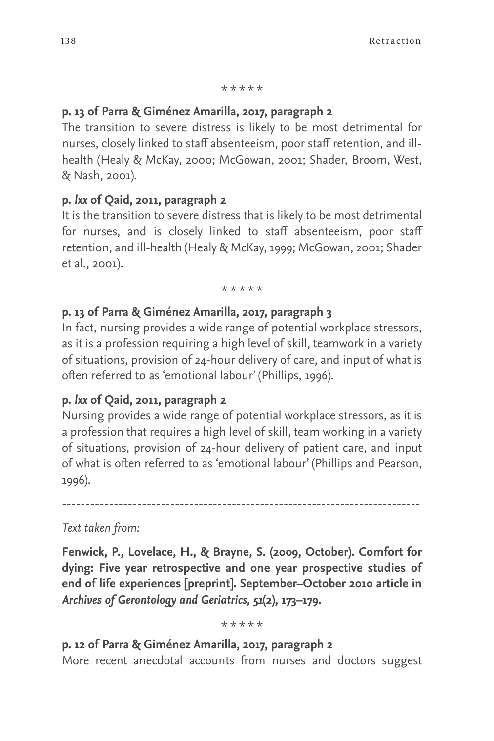#### \* \* \* \* \*

### **p. 13 of Parra & Giménez Amarilla, 2017, paragraph 2**

The transition to severe distress is likely to be most detrimental for nurses, closely linked to staff absenteeism, poor staff retention, and illhealth (Healy & McKay, 2000; McGowan, 2001; Shader, Broom, West, & Nash, 2001).

### **p.** *lxx* **of Qaid, 2011, paragraph 2**

It is the transition to severe distress that is likely to be most detrimental for nurses, and is closely linked to staff absenteeism, poor staff retention, and ill-health (Healy & McKay, 1999; McGowan, 2001; Shader et al., 2001).

\* \* \* \* \*

### **p. 13 of Parra & Giménez Amarilla, 2017, paragraph 3**

In fact, nursing provides a wide range of potential workplace stressors, as it is a profession requiring a high level of skill, teamwork in a variety of situations, provision of 24-hour delivery of care, and input of what is often referred to as 'emotional labour' (Phillips, 1996).

### **p.** *lxx* **of Qaid, 2011, paragraph 2**

Nursing provides a wide range of potential workplace stressors, as it is a profession that requires a high level of skill, team working in a variety of situations, provision of 24-hour delivery of patient care, and input of what is often referred to as 'emotional labour' (Phillips and Pearson, 1996).

----------------------------------------------------------------------------

### *Text taken from:*

**Fenwick, P., Lovelace, H., & Brayne, S. (2009, October). Comfort for dying: Five year retrospective and one year prospective studies of end of life experiences [preprint]. September–October 2010 article in**  *Archives of Gerontology and Geriatrics, 51***(2), 173–179.** 

\* \* \* \* \*

**p. 12 of Parra & Giménez Amarilla, 2017, paragraph 2** More recent anecdotal accounts from nurses and doctors suggest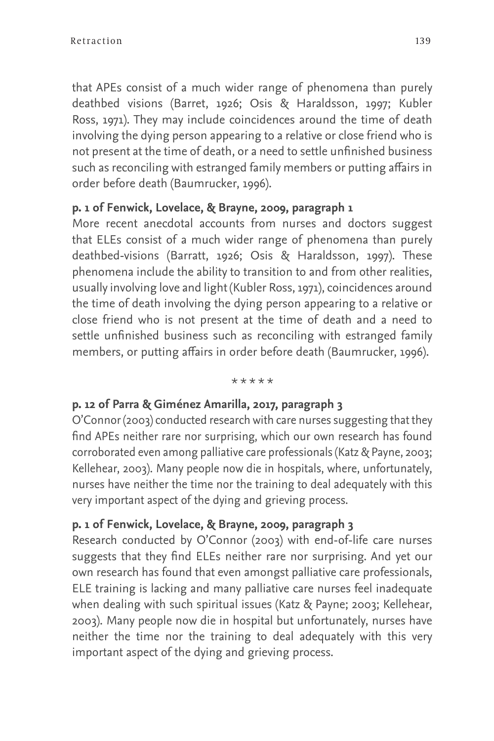that APEs consist of a much wider range of phenomena than purely deathbed visions (Barret, 1926; Osis & Haraldsson, 1997; Kubler Ross, 1971). They may include coincidences around the time of death involving the dying person appearing to a relative or close friend who is not present at the time of death, or a need to settle unfinished business such as reconciling with estranged family members or putting affairs in order before death (Baumrucker, 1996).

## **p. 1 of Fenwick, Lovelace, & Brayne, 2009, paragraph 1**

More recent anecdotal accounts from nurses and doctors suggest that ELEs consist of a much wider range of phenomena than purely deathbed-visions (Barratt, 1926; Osis & Haraldsson, 1997). These phenomena include the ability to transition to and from other realities, usually involving love and light (Kubler Ross, 1971), coincidences around the time of death involving the dying person appearing to a relative or close friend who is not present at the time of death and a need to settle unfinished business such as reconciling with estranged family members, or putting affairs in order before death (Baumrucker, 1996).

#### \* \* \* \* \*

### **p. 12 of Parra & Giménez Amarilla, 2017, paragraph 3**

O'Connor (2003) conducted research with care nurses suggesting that they find APEs neither rare nor surprising, which our own research has found corroborated even among palliative care professionals (Katz & Payne, 2003; Kellehear, 2003). Many people now die in hospitals, where, unfortunately, nurses have neither the time nor the training to deal adequately with this very important aspect of the dying and grieving process.

### **p. 1 of Fenwick, Lovelace, & Brayne, 2009, paragraph 3**

Research conducted by O'Connor (2003) with end-of-life care nurses suggests that they find ELEs neither rare nor surprising. And yet our own research has found that even amongst palliative care professionals, ELE training is lacking and many palliative care nurses feel inadequate when dealing with such spiritual issues (Katz & Payne; 2003; Kellehear, 2003). Many people now die in hospital but unfortunately, nurses have neither the time nor the training to deal adequately with this very important aspect of the dying and grieving process.